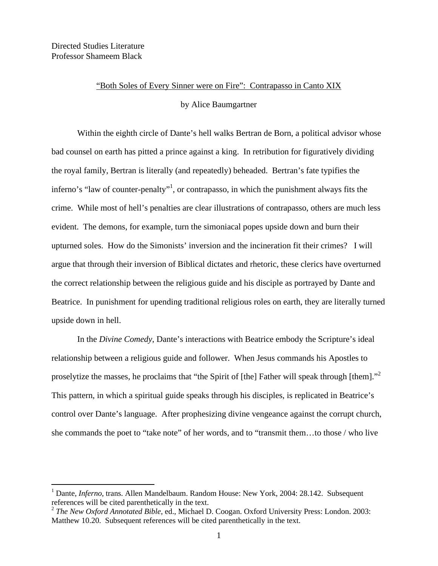## "Both Soles of Every Sinner were on Fire": Contrapasso in Canto XIX

by Alice Baumgartner

Within the eighth circle of Dante's hell walks Bertran de Born, a political advisor whose bad counsel on earth has pitted a prince against a king. In retribution for figuratively dividing the royal family, Bertran is literally (and repeatedly) beheaded. Bertran's fate typifies the inferno's "law of counter-penalty"<sup>1</sup>, or contrapasso, in which the punishment always fits the crime. While most of hell's penalties are clear illustrations of contrapasso, others are much less evident. The demons, for example, turn the simoniacal popes upside down and burn their upturned soles. How do the Simonists' inversion and the incineration fit their crimes? I will argue that through their inversion of Biblical dictates and rhetoric, these clerics have overturned the correct relationship between the religious guide and his disciple as portrayed by Dante and Beatrice. In punishment for upending traditional religious roles on earth, they are literally turned upside down in hell.

In the *Divine Comedy*, Dante's interactions with Beatrice embody the Scripture's ideal relationship between a religious guide and follower. When Jesus commands his Apostles to proselytize the masses, he proclaims that "the Spirit of [the] Father will speak through [them]."<sup>2</sup> This pattern, in which a spiritual guide speaks through his disciples, is replicated in Beatrice's control over Dante's language. After prophesizing divine vengeance against the corrupt church, she commands the poet to "take note" of her words, and to "transmit them…to those / who live

 <sup>1</sup> Dante, *Inferno*, trans. Allen Mandelbaum. Random House: New York, 2004: 28.142. Subsequent references will be cited parenthetically in the text.

<sup>2</sup> *The New Oxford Annotated Bible*, ed., Michael D. Coogan. Oxford University Press: London. 2003: Matthew 10.20. Subsequent references will be cited parenthetically in the text.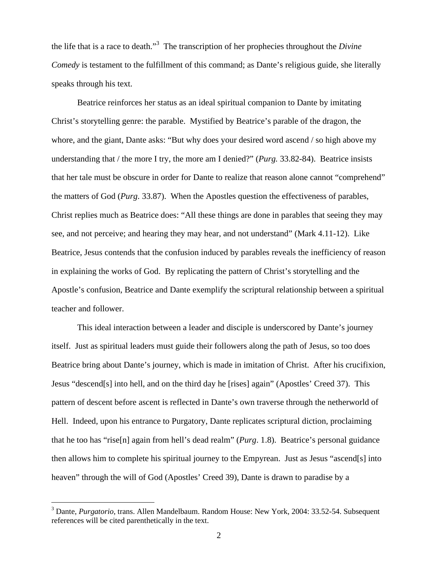the life that is a race to death."<sup>3</sup> The transcription of her prophecies throughout the *Divine Comedy* is testament to the fulfillment of this command; as Dante's religious guide, she literally speaks through his text.

Beatrice reinforces her status as an ideal spiritual companion to Dante by imitating Christ's storytelling genre: the parable. Mystified by Beatrice's parable of the dragon, the whore, and the giant, Dante asks: "But why does your desired word ascend / so high above my understanding that / the more I try, the more am I denied?" (*Purg.* 33.82-84). Beatrice insists that her tale must be obscure in order for Dante to realize that reason alone cannot "comprehend" the matters of God (*Purg.* 33.87). When the Apostles question the effectiveness of parables, Christ replies much as Beatrice does: "All these things are done in parables that seeing they may see, and not perceive; and hearing they may hear, and not understand" (Mark 4.11-12). Like Beatrice, Jesus contends that the confusion induced by parables reveals the inefficiency of reason in explaining the works of God. By replicating the pattern of Christ's storytelling and the Apostle's confusion, Beatrice and Dante exemplify the scriptural relationship between a spiritual teacher and follower.

This ideal interaction between a leader and disciple is underscored by Dante's journey itself. Just as spiritual leaders must guide their followers along the path of Jesus, so too does Beatrice bring about Dante's journey, which is made in imitation of Christ. After his crucifixion, Jesus "descend[s] into hell, and on the third day he [rises] again" (Apostles' Creed 37). This pattern of descent before ascent is reflected in Dante's own traverse through the netherworld of Hell. Indeed, upon his entrance to Purgatory, Dante replicates scriptural diction, proclaiming that he too has "rise[n] again from hell's dead realm" (*Purg*. 1.8). Beatrice's personal guidance then allows him to complete his spiritual journey to the Empyrean. Just as Jesus "ascend[s] into heaven" through the will of God (Apostles' Creed 39), Dante is drawn to paradise by a

 <sup>3</sup> Dante, *Purgatorio*, trans. Allen Mandelbaum. Random House: New York, 2004: 33.52-54. Subsequent references will be cited parenthetically in the text.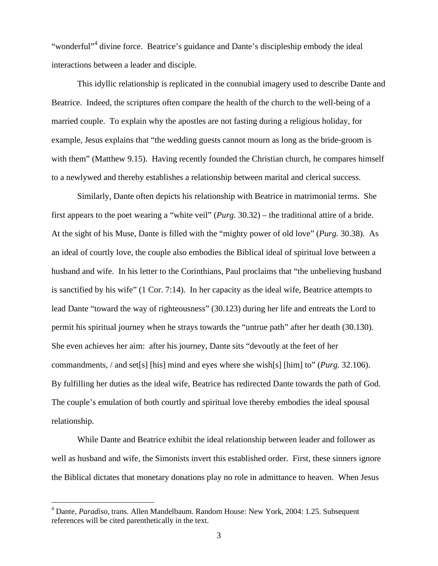"wonderful"<sup>4</sup> divine force. Beatrice's guidance and Dante's discipleship embody the ideal interactions between a leader and disciple.

This idyllic relationship is replicated in the connubial imagery used to describe Dante and Beatrice. Indeed, the scriptures often compare the health of the church to the well-being of a married couple. To explain why the apostles are not fasting during a religious holiday, for example, Jesus explains that "the wedding guests cannot mourn as long as the bride-groom is with them" (Matthew 9.15). Having recently founded the Christian church, he compares himself to a newlywed and thereby establishes a relationship between marital and clerical success.

Similarly, Dante often depicts his relationship with Beatrice in matrimonial terms. She first appears to the poet wearing a "white veil" (*Purg.* 30.32) – the traditional attire of a bride. At the sight of his Muse, Dante is filled with the "mighty power of old love" (*Purg.* 30.38). As an ideal of courtly love, the couple also embodies the Biblical ideal of spiritual love between a husband and wife. In his letter to the Corinthians, Paul proclaims that "the unbelieving husband is sanctified by his wife" (1 Cor. 7:14). In her capacity as the ideal wife, Beatrice attempts to lead Dante "toward the way of righteousness" (30.123) during her life and entreats the Lord to permit his spiritual journey when he strays towards the "untrue path" after her death (30.130). She even achieves her aim: after his journey, Dante sits "devoutly at the feet of her commandments, / and set[s] [his] mind and eyes where she wish[s] [him] to" (*Purg.* 32.106). By fulfilling her duties as the ideal wife, Beatrice has redirected Dante towards the path of God. The couple's emulation of both courtly and spiritual love thereby embodies the ideal spousal relationship.

While Dante and Beatrice exhibit the ideal relationship between leader and follower as well as husband and wife, the Simonists invert this established order. First, these sinners ignore the Biblical dictates that monetary donations play no role in admittance to heaven. When Jesus

 <sup>4</sup> Dante, *Paradiso*, trans. Allen Mandelbaum. Random House: New York, 2004: 1.25. Subsequent references will be cited parenthetically in the text.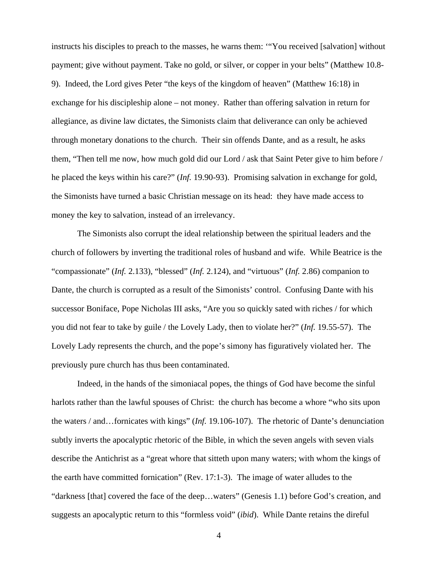instructs his disciples to preach to the masses, he warns them: '"You received [salvation] without payment; give without payment. Take no gold, or silver, or copper in your belts" (Matthew 10.8- 9). Indeed, the Lord gives Peter "the keys of the kingdom of heaven" (Matthew 16:18) in exchange for his discipleship alone – not money. Rather than offering salvation in return for allegiance, as divine law dictates, the Simonists claim that deliverance can only be achieved through monetary donations to the church. Their sin offends Dante, and as a result, he asks them, "Then tell me now, how much gold did our Lord / ask that Saint Peter give to him before / he placed the keys within his care?" (*Inf.* 19.90-93). Promising salvation in exchange for gold, the Simonists have turned a basic Christian message on its head: they have made access to money the key to salvation, instead of an irrelevancy.

The Simonists also corrupt the ideal relationship between the spiritual leaders and the church of followers by inverting the traditional roles of husband and wife. While Beatrice is the "compassionate" (*Inf.* 2.133), "blessed" (*Inf.* 2.124), and "virtuous" (*Inf.* 2.86) companion to Dante, the church is corrupted as a result of the Simonists' control. Confusing Dante with his successor Boniface, Pope Nicholas III asks, "Are you so quickly sated with riches / for which you did not fear to take by guile / the Lovely Lady, then to violate her?" (*Inf.* 19.55-57). The Lovely Lady represents the church, and the pope's simony has figuratively violated her. The previously pure church has thus been contaminated.

Indeed, in the hands of the simoniacal popes, the things of God have become the sinful harlots rather than the lawful spouses of Christ: the church has become a whore "who sits upon the waters / and…fornicates with kings" (*Inf.* 19.106-107). The rhetoric of Dante's denunciation subtly inverts the apocalyptic rhetoric of the Bible, in which the seven angels with seven vials describe the Antichrist as a "great whore that sitteth upon many waters; with whom the kings of the earth have committed fornication" (Rev. 17:1-3). The image of water alludes to the "darkness [that] covered the face of the deep…waters" (Genesis 1.1) before God's creation, and suggests an apocalyptic return to this "formless void" (*ibid*). While Dante retains the direful

4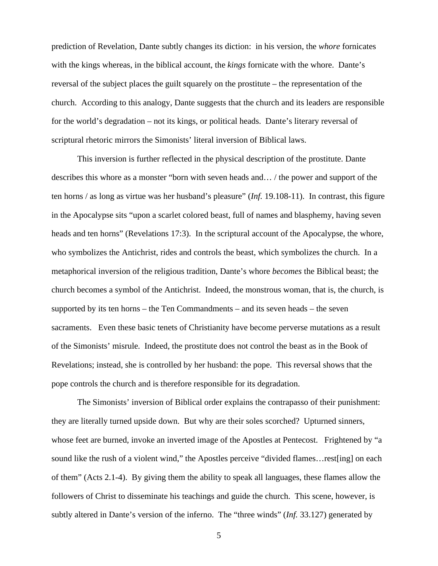prediction of Revelation, Dante subtly changes its diction: in his version, the *whore* fornicates with the kings whereas, in the biblical account, the *kings* fornicate with the whore. Dante's reversal of the subject places the guilt squarely on the prostitute – the representation of the church. According to this analogy, Dante suggests that the church and its leaders are responsible for the world's degradation – not its kings, or political heads. Dante's literary reversal of scriptural rhetoric mirrors the Simonists' literal inversion of Biblical laws.

This inversion is further reflected in the physical description of the prostitute. Dante describes this whore as a monster "born with seven heads and… / the power and support of the ten horns / as long as virtue was her husband's pleasure" (*Inf.* 19.108-11). In contrast, this figure in the Apocalypse sits "upon a scarlet colored beast, full of names and blasphemy, having seven heads and ten horns" (Revelations 17:3). In the scriptural account of the Apocalypse, the whore, who symbolizes the Antichrist, rides and controls the beast, which symbolizes the church. In a metaphorical inversion of the religious tradition, Dante's whore *becomes* the Biblical beast; the church becomes a symbol of the Antichrist. Indeed, the monstrous woman, that is, the church, is supported by its ten horns – the Ten Commandments – and its seven heads – the seven sacraments. Even these basic tenets of Christianity have become perverse mutations as a result of the Simonists' misrule. Indeed, the prostitute does not control the beast as in the Book of Revelations; instead, she is controlled by her husband: the pope. This reversal shows that the pope controls the church and is therefore responsible for its degradation.

The Simonists' inversion of Biblical order explains the contrapasso of their punishment: they are literally turned upside down. But why are their soles scorched? Upturned sinners, whose feet are burned, invoke an inverted image of the Apostles at Pentecost. Frightened by "a sound like the rush of a violent wind," the Apostles perceive "divided flames... rest[ing] on each of them" (Acts 2.1-4). By giving them the ability to speak all languages, these flames allow the followers of Christ to disseminate his teachings and guide the church. This scene, however, is subtly altered in Dante's version of the inferno. The "three winds" (*Inf.* 33.127) generated by

5